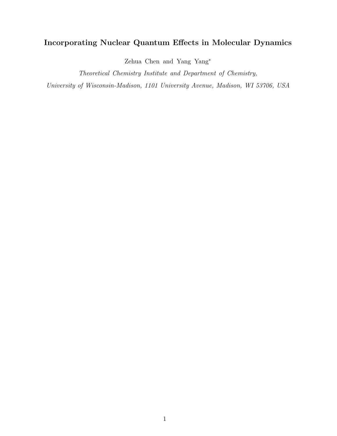## Incorporating Nuclear Quantum Effects in Molecular Dynamics

Zehua Chen and Yang Yang<sup>∗</sup>

Theoretical Chemistry Institute and Department of Chemistry,

University of Wisconsin-Madison, 1101 University Avenue, Madison, WI 53706, USA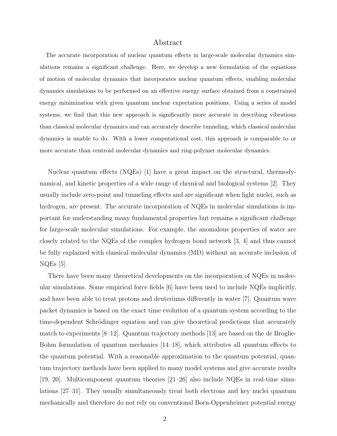## Abstract

The accurate incorporation of nuclear quantum effects in large-scale molecular dynamics simulations remains a significant challenge. Here, we develop a new formulation of the equations of motion of molecular dynamics that incorporates nuclear quantum effects, enabling molecular dynamics simulations to be performed on an effective energy surface obtained from a constrained energy minimization with given quantum nuclear expectation positions. Using a series of model systems, we find that this new approach is significantly more accurate in describing vibrations than classical molecular dynamics and can accurately describe tunneling, which classical molecular dynamics is unable to do. With a lower computational cost, this approach is comparable to or more accurate than centroid molecular dynamics and ring-polymer molecular dynamics.

Nuclear quantum effects (NQEs) [1] have a great impact on the structural, thermodynamical, and kinetic properties of a wide range of chemical and biological systems [2]. They usually include zero-point and tunneling effects and are significant when light nuclei, such as hydrogen, are present. The accurate incorporation of NQEs in molecular simulations is important for understanding many fundamental properties but remains a significant challenge for large-scale molecular simulations. For example, the anomalous properties of water are closely related to the NQEs of the complex hydrogen bond network [3, 4] and thus cannot be fully explained with classical molecular dynamics (MD) without an accurate inclusion of  $NQEs$  [5].

There have been many theoretical developments on the incorporation of NQEs in molecular simulations. Some empirical force fields [6] have been used to include NQEs implicitly, and have been able to treat protons and deuteriums differently in water [7]. Quantum wave packet dynamics is based on the exact time evolution of a quantum system according to the time-dependent Schrödinger equation and can give theoretical predictions that accurately match to experiments  $[8-12]$ . Quantum trajectory methods [13] are based on the de Broglie-Bohm formulation of quantum mechanics [14–18], which attributes all quantum effects to the quantum potential. With a reasonable approximation to the quantum potential, quantum trajectory methods have been applied to many model systems and give accurate results [19, 20]. Multicomponent quantum theories [21–26] also include NQEs in real-time simulations [27–31]. They usually simultaneously treat both electrons and key nuclei quantum mechanically and therefore do not rely on conventional Born-Oppenheimer potential energy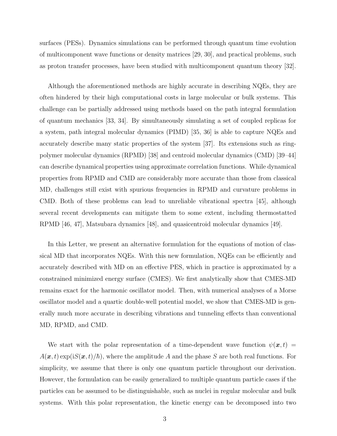surfaces (PESs). Dynamics simulations can be performed through quantum time evolution of multicomponent wave functions or density matrices [29, 30], and practical problems, such as proton transfer processes, have been studied with multicomponent quantum theory [32].

Although the aforementioned methods are highly accurate in describing NQEs, they are often hindered by their high computational costs in large molecular or bulk systems. This challenge can be partially addressed using methods based on the path integral formulation of quantum mechanics [33, 34]. By simultaneously simulating a set of coupled replicas for a system, path integral molecular dynamics (PIMD) [35, 36] is able to capture NQEs and accurately describe many static properties of the system [37]. Its extensions such as ringpolymer molecular dynamics (RPMD) [38] and centroid molecular dynamics (CMD) [39–44] can describe dynamical properties using approximate correlation functions. While dynamical properties from RPMD and CMD are considerably more accurate than those from classical MD, challenges still exist with spurious frequencies in RPMD and curvature problems in CMD. Both of these problems can lead to unreliable vibrational spectra [45], although several recent developments can mitigate them to some extent, including thermostatted RPMD [46, 47], Matsubara dynamics [48], and quasicentroid molecular dynamics [49].

In this Letter, we present an alternative formulation for the equations of motion of classical MD that incorporates NQEs. With this new formulation, NQEs can be efficiently and accurately described with MD on an effective PES, which in practice is approximated by a constrained minimized energy surface (CMES). We first analytically show that CMES-MD remains exact for the harmonic oscillator model. Then, with numerical analyses of a Morse oscillator model and a quartic double-well potential model, we show that CMES-MD is generally much more accurate in describing vibrations and tunneling effects than conventional MD, RPMD, and CMD.

We start with the polar representation of a time-dependent wave function  $\psi(\mathbf{x},t)$  =  $A(\mathbf{x}, t)$  exp(i $S(\mathbf{x}, t)/\hbar$ ), where the amplitude A and the phase S are both real functions. For simplicity, we assume that there is only one quantum particle throughout our derivation. However, the formulation can be easily generalized to multiple quantum particle cases if the particles can be assumed to be distinguishable, such as nuclei in regular molecular and bulk systems. With this polar representation, the kinetic energy can be decomposed into two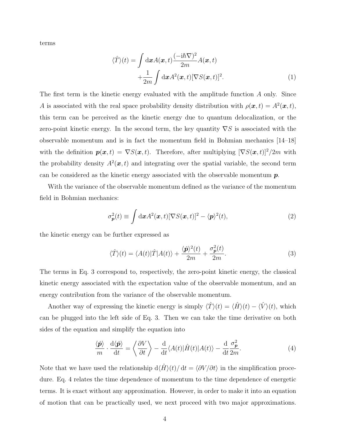terms

$$
\langle \hat{T} \rangle(t) = \int \mathrm{d}\boldsymbol{x} A(\boldsymbol{x}, t) \frac{(-i\hbar \nabla)^2}{2m} A(\boldsymbol{x}, t) + \frac{1}{2m} \int \mathrm{d}\boldsymbol{x} A^2(\boldsymbol{x}, t) [\nabla S(\boldsymbol{x}, t)]^2.
$$
 (1)

The first term is the kinetic energy evaluated with the amplitude function A only. Since A is associated with the real space probability density distribution with  $\rho(\boldsymbol{x},t) = A^2(\boldsymbol{x},t)$ , this term can be perceived as the kinetic energy due to quantum delocalization, or the zero-point kinetic energy. In the second term, the key quantity  $\nabla S$  is associated with the observable momentum and is in fact the momentum field in Bohmian mechanics [14–18] with the definition  $p(x, t) = \nabla S(x, t)$ . Therefore, after multiplying  $[\nabla S(x, t)]^2/2m$  with the probability density  $A^2(x,t)$  and integrating over the spatial variable, the second term can be considered as the kinetic energy associated with the observable momentum  $p$ .

With the variance of the observable momentum defined as the variance of the momentum field in Bohmian mechanics:

$$
\sigma_{\mathbf{p}}^2(t) \equiv \int \mathrm{d}\mathbf{x} A^2(\mathbf{x}, t) [\nabla S(\mathbf{x}, t)]^2 - \langle \mathbf{p} \rangle^2(t), \tag{2}
$$

the kinetic energy can be further expressed as

$$
\langle \hat{T} \rangle(t) = \langle A(t) | \hat{T} | A(t) \rangle + \frac{\langle \hat{p} \rangle^2(t)}{2m} + \frac{\sigma_p^2(t)}{2m}.
$$
 (3)

The terms in Eq. 3 correspond to, respectively, the zero-point kinetic energy, the classical kinetic energy associated with the expectation value of the observable momentum, and an energy contribution from the variance of the observable momentum.

Another way of expressing the kinetic energy is simply  $\langle \hat{T} \rangle(t) = \langle \hat{H} \rangle(t) - \langle \hat{V} \rangle(t)$ , which can be plugged into the left side of Eq. 3. Then we can take the time derivative on both sides of the equation and simplify the equation into

$$
\frac{\langle \hat{\mathbf{p}} \rangle}{m} \cdot \frac{\mathrm{d}\langle \hat{\mathbf{p}} \rangle}{\mathrm{d}t} = \left\langle \frac{\partial V}{\partial t} \right\rangle - \frac{\mathrm{d}}{\mathrm{d}t} \langle A(t) | \hat{H}(t) | A(t) \rangle - \frac{\mathrm{d}}{\mathrm{d}t} \frac{\sigma_{\mathbf{p}}^2}{2m}.
$$
 (4)

Note that we have used the relationship  $d\langle \hat{H} \rangle(t)/dt = \langle \partial V \rangle \partial t$  in the simplification procedure. Eq. 4 relates the time dependence of momentum to the time dependence of energetic terms. It is exact without any approximation. However, in order to make it into an equation of motion that can be practically used, we next proceed with two major approximations.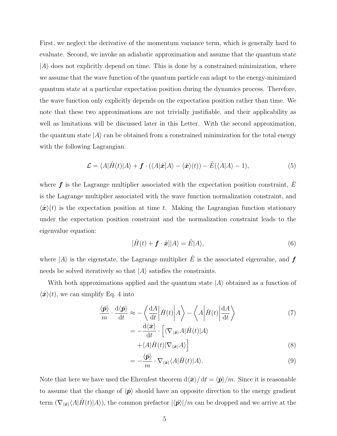First, we neglect the derivative of the momentum variance term, which is generally hard to evaluate. Second, we invoke an adiabatic approximation and assume that the quantum state  $|A\rangle$  does not explicitly depend on time. This is done by a constrained minimization, where we assume that the wave function of the quantum particle can adapt to the energy-minimized quantum state at a particular expectation position during the dynamics process. Therefore, the wave function only explicitly depends on the expectation position rather than time. We note that these two approximations are not trivially justifiable, and their applicability as well as limitations will be discussed later in this Letter. With the second approximation, the quantum state  $|A\rangle$  can be obtained from a constrained minimization for the total energy with the following Lagrangian:

$$
\mathcal{L} = \langle A|\hat{H}(t)|A\rangle + \mathbf{f} \cdot (\langle A|\hat{\mathbf{x}}|A\rangle - \langle \hat{\mathbf{x}}\rangle(t)) - \tilde{E}(\langle A|A\rangle - 1),\tag{5}
$$

where  $f$  is the Lagrange multiplier associated with the expectation position constraint,  $E$ is the Lagrange multiplier associated with the wave function normalization constraint, and  $\langle \hat{\mathbf{x}} \rangle(t)$  is the expectation position at time t. Making the Lagrangian function stationary under the expectation position constraint and the normalization constraint leads to the eigenvalue equation:

$$
[\hat{H}(t) + \mathbf{f} \cdot \hat{\mathbf{x}}]|A\rangle = \tilde{E}|A\rangle,
$$
\n(6)

where  $|A\rangle$  is the eigenstate, the Lagrange multiplier  $\tilde{E}$  is the associated eigenvalue, and  $f$ needs be solved iteratively so that  $|A\rangle$  satisfies the constraints.

With both approximations applied and the quantum state  $|A\rangle$  obtained as a function of  $\langle \hat{\mathbf{x}} \rangle(t)$ , we can simplify Eq. 4 into

$$
\frac{\langle \hat{\mathbf{p}} \rangle}{m} \cdot \frac{\mathrm{d}\langle \hat{\mathbf{p}} \rangle}{\mathrm{d}t} \approx -\left\langle \frac{\mathrm{d}A}{\mathrm{d}t} \left| \hat{H}(t) \right| A \right\rangle - \left\langle A \left| \hat{H}(t) \right| \frac{\mathrm{d}A}{\mathrm{d}t} \right\rangle \tag{7}
$$

$$
= -\frac{\mathrm{d}\langle \hat{\mathbf{x}} \rangle}{\mathrm{d}t} \cdot \left[ \langle \nabla_{\langle \hat{\mathbf{x}} \rangle} A | \hat{H}(t) | A \rangle \right. \\ \left. + \langle A | \hat{H}(t) | \nabla_{\langle \hat{\mathbf{x}} \rangle} A \rangle \right] \tag{8}
$$

$$
= -\frac{\langle \hat{\mathbf{p}} \rangle}{m} \cdot \nabla_{\langle \hat{\mathbf{x}} \rangle} \langle A | \hat{H}(t) | A \rangle.
$$
\n(9)

Note that here we have used the Ehrenfest theorem  $d\langle \hat{x} \rangle / dt = \langle \hat{p} \rangle / m$ . Since it is reasonable to assume that the change of  $\langle \hat{p} \rangle$  should have an opposite direction to the energy gradient term  $(\nabla_{\langle \hat{\mathbf{x}} \rangle} \langle A | \hat{H}(t) | A \rangle)$ , the common prefactor  $|\langle \hat{\mathbf{p}} \rangle|/m$  can be dropped and we arrive at the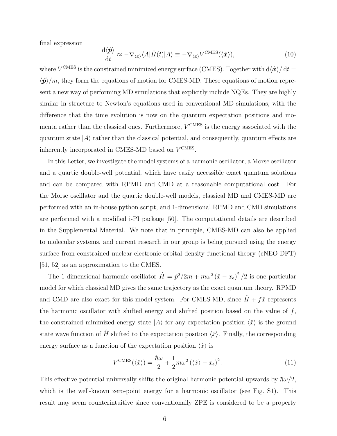final expression

$$
\frac{\mathrm{d}\langle\hat{\boldsymbol{p}}\rangle}{\mathrm{d}t} \approx -\nabla_{\langle\hat{\boldsymbol{x}}\rangle} \langle A|\hat{H}(t)|A\rangle \equiv -\nabla_{\langle\hat{\boldsymbol{x}}\rangle} V^{\text{CMES}}(\langle\hat{\boldsymbol{x}}\rangle),\tag{10}
$$

where  $V^{\text{CMES}}$  is the constrained minimized energy surface (CMES). Together with  $d\langle \hat{\bm{x}} \rangle / dt =$  $\langle \hat{\mathbf{p}} \rangle/m$ , they form the equations of motion for CMES-MD. These equations of motion represent a new way of performing MD simulations that explicitly include NQEs. They are highly similar in structure to Newton's equations used in conventional MD simulations, with the difference that the time evolution is now on the quantum expectation positions and momenta rather than the classical ones. Furthermore,  $V^{\text{CMES}}$  is the energy associated with the quantum state  $|A\rangle$  rather than the classical potential, and consequently, quantum effects are inherently incorporated in CMES-MD based on  $V^{\text{CMES}}$ .

In this Letter, we investigate the model systems of a harmonic oscillator, a Morse oscillator and a quartic double-well potential, which have easily accessible exact quantum solutions and can be compared with RPMD and CMD at a reasonable computational cost. For the Morse oscillator and the quartic double-well models, classical MD and CMES-MD are performed with an in-house python script, and 1-dimensional RPMD and CMD simulations are performed with a modified i-PI package [50]. The computational details are described in the Supplemental Material. We note that in principle, CMES-MD can also be applied to molecular systems, and current research in our group is being pursued using the energy surface from constrained nuclear-electronic orbital density functional theory (cNEO-DFT) [51, 52] as an approximation to the CMES.

The 1-dimensional harmonic oscillator  $\hat{H} = \hat{p}^2/2m + m\omega^2(\hat{x} - x_e)^2/2$  is one particular model for which classical MD gives the same trajectory as the exact quantum theory. RPMD and CMD are also exact for this model system. For CMES-MD, since  $H + f\hat{x}$  represents the harmonic oscillator with shifted energy and shifted position based on the value of  $f$ , the constrained minimized energy state  $|A\rangle$  for any expectation position  $\langle \hat{x} \rangle$  is the ground state wave function of H shifted to the expectation position  $\langle \hat{x} \rangle$ . Finally, the corresponding energy surface as a function of the expectation position  $\langle \hat{x} \rangle$  is

$$
V^{\rm CMES}(\langle \hat{x} \rangle) = \frac{\hbar \omega}{2} + \frac{1}{2} m \omega^2 (\langle \hat{x} \rangle - x_e)^2.
$$
 (11)

This effective potential universally shifts the original harmonic potential upwards by  $\hbar\omega/2$ , which is the well-known zero-point energy for a harmonic oscillator (see Fig. S1). This result may seem counterintuitive since conventionally ZPE is considered to be a property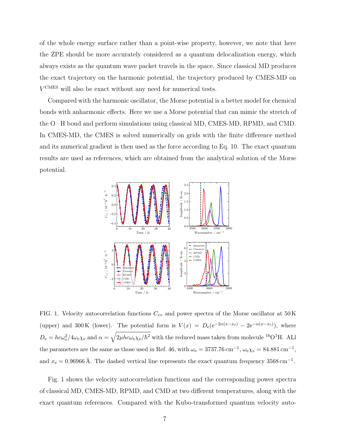of the whole energy surface rather than a point-wise property, however, we note that here the ZPE should be more accurately considered as a quantum delocalization energy, which always exists as the quantum wave packet travels in the space. Since classical MD produces the exact trajectory on the harmonic potential, the trajectory produced by CMES-MD on V CMES will also be exact without any need for numerical tests.

Compared with the harmonic oscillator, the Morse potential is a better model for chemical bonds with anharmonic effects. Here we use a Morse potential that can mimic the stretch of the O–H bond and perform simulations using classical MD, CMES-MD, RPMD, and CMD. In CMES-MD, the CMES is solved numerically on grids with the finite difference method and its numerical gradient is then used as the force according to Eq. 10. The exact quantum results are used as references, which are obtained from the analytical solution of the Morse potential.



FIG. 1. Velocity autocorrelation functions  $C_{vv}$  and power spectra of the Morse oscillator at 50 K (upper) and 300 K (lower). The potential form is  $V(x) = D_e(e^{-2\alpha(x-x_e)} - 2e^{-\alpha(x-x_e)}),$  where  $D_e = hc\omega_e^2/4\omega_e \chi_e$  and  $\alpha = \sqrt{2\mu hc\omega_e \chi_e/\hbar^2}$  with the reduced mass taken from molecule <sup>16</sup>O<sup>1</sup>H. ALl the parameters are the same as those used in Ref. 46, with  $\omega_e = 3737.76 \text{ cm}^{-1}$ ,  $\omega_e \chi_e = 84.881 \text{ cm}^{-1}$ , and  $x_e = 0.96966 \text{ Å}$ . The dashed vertical line represents the exact quantum frequency 3568 cm<sup>-1</sup>.

Fig. 1 shows the velocity autocorrelation functions and the corresponding power spectra of classical MD, CMES-MD, RPMD, and CMD at two different temperatures, along with the exact quantum references. Compared with the Kubo-transformed quantum velocity auto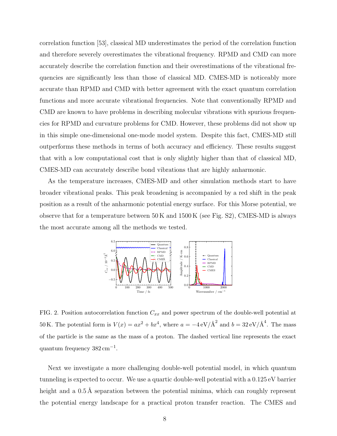correlation function [53], classical MD underestimates the period of the correlation function and therefore severely overestimates the vibrational frequency. RPMD and CMD can more accurately describe the correlation function and their overestimations of the vibrational frequencies are significantly less than those of classical MD. CMES-MD is noticeably more accurate than RPMD and CMD with better agreement with the exact quantum correlation functions and more accurate vibrational frequencies. Note that conventionally RPMD and CMD are known to have problems in describing molecular vibrations with spurious frequencies for RPMD and curvature problems for CMD. However, these problems did not show up in this simple one-dimensional one-mode model system. Despite this fact, CMES-MD still outperforms these methods in terms of both accuracy and efficiency. These results suggest that with a low computational cost that is only slightly higher than that of classical MD, CMES-MD can accurately describe bond vibrations that are highly anharmonic.

As the temperature increases, CMES-MD and other simulation methods start to have broader vibrational peaks. This peak broadening is accompanied by a red shift in the peak position as a result of the anharmonic potential energy surface. For this Morse potential, we observe that for a temperature between  $50 \text{ K}$  and  $1500 \text{ K}$  (see Fig. S2), CMES-MD is always the most accurate among all the methods we tested.



FIG. 2. Position autocorrelation function  $C_{xx}$  and power spectrum of the double-well potential at 50 K. The potential form is  $V(x) = ax^2 + bx^4$ , where  $a = -4 eV/\text{\AA}^2$  and  $b = 32 eV/\text{\AA}^4$ . The mass of the particle is the same as the mass of a proton. The dashed vertical line represents the exact quantum frequency  $382 \text{ cm}^{-1}$ .

Next we investigate a more challenging double-well potential model, in which quantum tunneling is expected to occur. We use a quartic double-well potential with a 0.125 eV barrier height and a  $0.5 \text{ Å}$  separation between the potential minima, which can roughly represent the potential energy landscape for a practical proton transfer reaction. The CMES and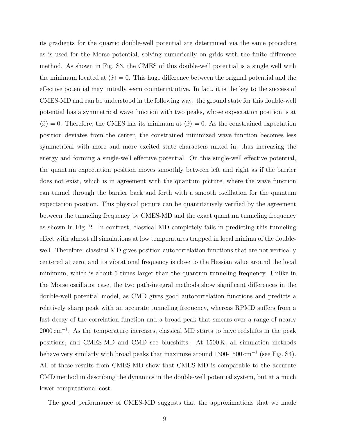its gradients for the quartic double-well potential are determined via the same procedure as is used for the Morse potential, solving numerically on grids with the finite difference method. As shown in Fig. S3, the CMES of this double-well potential is a single well with the minimum located at  $\langle \hat{x} \rangle = 0$ . This huge difference between the original potential and the effective potential may initially seem counterintuitive. In fact, it is the key to the success of CMES-MD and can be understood in the following way: the ground state for this double-well potential has a symmetrical wave function with two peaks, whose expectation position is at  $\langle \hat{x} \rangle = 0$ . Therefore, the CMES has its minimum at  $\langle \hat{x} \rangle = 0$ . As the constrained expectation position deviates from the center, the constrained minimized wave function becomes less symmetrical with more and more excited state characters mixed in, thus increasing the energy and forming a single-well effective potential. On this single-well effective potential, the quantum expectation position moves smoothly between left and right as if the barrier does not exist, which is in agreement with the quantum picture, where the wave function can tunnel through the barrier back and forth with a smooth oscillation for the quantum expectation position. This physical picture can be quantitatively verified by the agreement between the tunneling frequency by CMES-MD and the exact quantum tunneling frequency as shown in Fig. 2. In contrast, classical MD completely fails in predicting this tunneling effect with almost all simulations at low temperatures trapped in local minima of the doublewell. Therefore, classical MD gives position autocorrelation functions that are not vertically centered at zero, and its vibrational frequency is close to the Hessian value around the local minimum, which is about 5 times larger than the quantum tunneling frequency. Unlike in the Morse oscillator case, the two path-integral methods show significant differences in the double-well potential model, as CMD gives good autocorrelation functions and predicts a relatively sharp peak with an accurate tunneling frequency, whereas RPMD suffers from a fast decay of the correlation function and a broad peak that smears over a range of nearly 2000 cm<sup>-1</sup>. As the temperature increases, classical MD starts to have redshifts in the peak positions, and CMES-MD and CMD see blueshifts. At 1500 K, all simulation methods behave very similarly with broad peaks that maximize around 1300-1500 cm<sup>−</sup><sup>1</sup> (see Fig. S4). All of these results from CMES-MD show that CMES-MD is comparable to the accurate CMD method in describing the dynamics in the double-well potential system, but at a much lower computational cost.

The good performance of CMES-MD suggests that the approximations that we made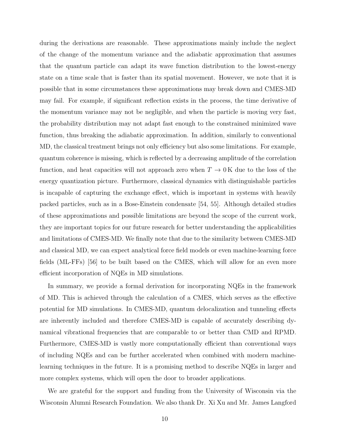during the derivations are reasonable. These approximations mainly include the neglect of the change of the momentum variance and the adiabatic approximation that assumes that the quantum particle can adapt its wave function distribution to the lowest-energy state on a time scale that is faster than its spatial movement. However, we note that it is possible that in some circumstances these approximations may break down and CMES-MD may fail. For example, if significant reflection exists in the process, the time derivative of the momentum variance may not be negligible, and when the particle is moving very fast, the probability distribution may not adapt fast enough to the constrained minimized wave function, thus breaking the adiabatic approximation. In addition, similarly to conventional MD, the classical treatment brings not only efficiency but also some limitations. For example, quantum coherence is missing, which is reflected by a decreasing amplitude of the correlation function, and heat capacities will not approach zero when  $T \to 0$  K due to the loss of the energy quantization picture. Furthermore, classical dynamics with distinguishable particles is incapable of capturing the exchange effect, which is important in systems with heavily packed particles, such as in a Bose-Einstein condensate [54, 55]. Although detailed studies of these approximations and possible limitations are beyond the scope of the current work, they are important topics for our future research for better understanding the applicabilities and limitations of CMES-MD. We finally note that due to the similarity between CMES-MD and classical MD, we can expect analytical force field models or even machine-learning force fields (ML-FFs) [56] to be built based on the CMES, which will allow for an even more efficient incorporation of NQEs in MD simulations.

In summary, we provide a formal derivation for incorporating NQEs in the framework of MD. This is achieved through the calculation of a CMES, which serves as the effective potential for MD simulations. In CMES-MD, quantum delocalization and tunneling effects are inherently included and therefore CMES-MD is capable of accurately describing dynamical vibrational frequencies that are comparable to or better than CMD and RPMD. Furthermore, CMES-MD is vastly more computationally efficient than conventional ways of including NQEs and can be further accelerated when combined with modern machinelearning techniques in the future. It is a promising method to describe NQEs in larger and more complex systems, which will open the door to broader applications.

We are grateful for the support and funding from the University of Wisconsin via the Wisconsin Alumni Research Foundation. We also thank Dr. Xi Xu and Mr. James Langford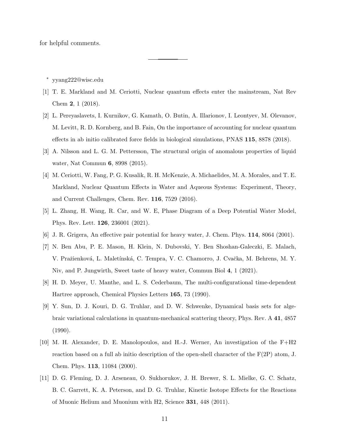for helpful comments.

<sup>∗</sup> yyang222@wisc.edu

- [1] T. E. Markland and M. Ceriotti, Nuclear quantum effects enter the mainstream, Nat Rev Chem 2, 1 (2018).
- [2] L. Pereyaslavets, I. Kurnikov, G. Kamath, O. Butin, A. Illarionov, I. Leontyev, M. Olevanov, M. Levitt, R. D. Kornberg, and B. Fain, On the importance of accounting for nuclear quantum effects in ab initio calibrated force fields in biological simulations, PNAS 115, 8878 (2018).
- [3] A. Nilsson and L. G. M. Pettersson, The structural origin of anomalous properties of liquid water, Nat Commun 6, 8998 (2015).
- [4] M. Ceriotti, W. Fang, P. G. Kusalik, R. H. McKenzie, A. Michaelides, M. A. Morales, and T. E. Markland, Nuclear Quantum Effects in Water and Aqueous Systems: Experiment, Theory, and Current Challenges, Chem. Rev. 116, 7529 (2016).
- [5] L. Zhang, H. Wang, R. Car, and W. E, Phase Diagram of a Deep Potential Water Model, Phys. Rev. Lett. 126, 236001 (2021).
- [6] J. R. Grigera, An effective pair potential for heavy water, J. Chem. Phys. 114, 8064 (2001).
- [7] N. Ben Abu, P. E. Mason, H. Klein, N. Dubovski, Y. Ben Shoshan-Galeczki, E. Malach, V. Pražienková, L. Maletínská, C. Tempra, V. C. Chamorro, J. Cvačka, M. Behrens, M. Y. Niv, and P. Jungwirth, Sweet taste of heavy water, Commun Biol 4, 1 (2021).
- [8] H. D. Meyer, U. Manthe, and L. S. Cederbaum, The multi-configurational time-dependent Hartree approach, Chemical Physics Letters 165, 73 (1990).
- [9] Y. Sun, D. J. Kouri, D. G. Truhlar, and D. W. Schwenke, Dynamical basis sets for algebraic variational calculations in quantum-mechanical scattering theory, Phys. Rev. A 41, 4857 (1990).
- [10] M. H. Alexander, D. E. Manolopoulos, and H.-J. Werner, An investigation of the F+H2 reaction based on a full ab initio description of the open-shell character of the  $F(2P)$  atom, J. Chem. Phys. 113, 11084 (2000).
- [11] D. G. Fleming, D. J. Arseneau, O. Sukhorukov, J. H. Brewer, S. L. Mielke, G. C. Schatz, B. C. Garrett, K. A. Peterson, and D. G. Truhlar, Kinetic Isotope Effects for the Reactions of Muonic Helium and Muonium with H2, Science 331, 448 (2011).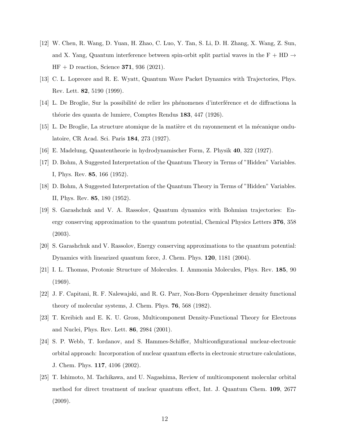- [12] W. Chen, R. Wang, D. Yuan, H. Zhao, C. Luo, Y. Tan, S. Li, D. H. Zhang, X. Wang, Z. Sun, and X. Yang, Quantum interference between spin-orbit split partial waves in the F + HD  $\rightarrow$  $HF + D$  reaction, Science 371, 936 (2021).
- [13] C. L. Lopreore and R. E. Wyatt, Quantum Wave Packet Dynamics with Trajectories, Phys. Rev. Lett. 82, 5190 (1999).
- [14] L. De Broglie, Sur la possibilité de relier les phénomenes d'interférence et de diffractiona la théorie des quanta de lumiere, Comptes Rendus 183, 447 (1926).
- [15] L. De Broglie, La structure atomique de la matière et du rayonnement et la mécanique ondulatoire, CR Acad. Sci. Paris 184, 273 (1927).
- [16] E. Madelung, Quantentheorie in hydrodynamischer Form, Z. Physik 40, 322 (1927).
- [17] D. Bohm, A Suggested Interpretation of the Quantum Theory in Terms of "Hidden" Variables. I, Phys. Rev. 85, 166 (1952).
- [18] D. Bohm, A Suggested Interpretation of the Quantum Theory in Terms of "Hidden" Variables. II, Phys. Rev. 85, 180 (1952).
- [19] S. Garashchuk and V. A. Rassolov, Quantum dynamics with Bohmian trajectories: Energy conserving approximation to the quantum potential, Chemical Physics Letters 376, 358 (2003).
- [20] S. Garashchuk and V. Rassolov, Energy conserving approximations to the quantum potential: Dynamics with linearized quantum force, J. Chem. Phys. 120, 1181 (2004).
- [21] I. L. Thomas, Protonic Structure of Molecules. I. Ammonia Molecules, Phys. Rev. 185, 90 (1969).
- [22] J. F. Capitani, R. F. Nalewajski, and R. G. Parr, Non-Born–Oppenheimer density functional theory of molecular systems, J. Chem. Phys. 76, 568 (1982).
- [23] T. Kreibich and E. K. U. Gross, Multicomponent Density-Functional Theory for Electrons and Nuclei, Phys. Rev. Lett. 86, 2984 (2001).
- [24] S. P. Webb, T. Iordanov, and S. Hammes-Schiffer, Multiconfigurational nuclear-electronic orbital approach: Incorporation of nuclear quantum effects in electronic structure calculations, J. Chem. Phys. 117, 4106 (2002).
- [25] T. Ishimoto, M. Tachikawa, and U. Nagashima, Review of multicomponent molecular orbital method for direct treatment of nuclear quantum effect, Int. J. Quantum Chem. 109, 2677  $(2009).$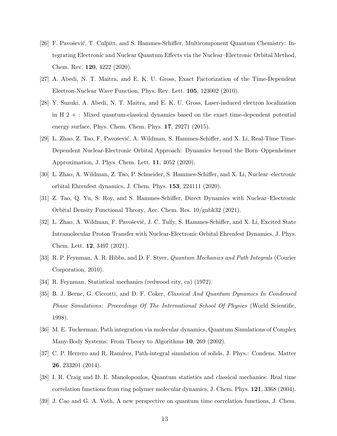- [26] F. Pavošević, T. Culpitt, and S. Hammes-Schiffer, Multicomponent Quantum Chemistry: Integrating Electronic and Nuclear Quantum Effects via the Nuclear–Electronic Orbital Method, Chem. Rev. 120, 4222 (2020).
- [27] A. Abedi, N. T. Maitra, and E. K. U. Gross, Exact Factorization of the Time-Dependent Electron-Nuclear Wave Function, Phys. Rev. Lett. 105, 123002 (2010).
- [28] Y. Suzuki, A. Abedi, N. T. Maitra, and E. K. U. Gross, Laser-induced electron localization in H  $2 +$ : Mixed quantum-classical dynamics based on the exact time-dependent potential energy surface, Phys. Chem. Chem. Phys. 17, 29271 (2015).
- [29] L. Zhao, Z. Tao, F. Pavošević, A. Wildman, S. Hammes-Schiffer, and X. Li, Real-Time Time-Dependent Nuclear-Electronic Orbital Approach: Dynamics beyond the Born–Oppenheimer Approximation, J. Phys. Chem. Lett. 11, 4052 (2020).
- [30] L. Zhao, A. Wildman, Z. Tao, P. Schneider, S. Hammes-Schiffer, and X. Li, Nuclear–electronic orbital Ehrenfest dynamics, J. Chem. Phys. 153, 224111 (2020).
- [31] Z. Tao, Q. Yu, S. Roy, and S. Hammes-Schiffer, Direct Dynamics with Nuclear–Electronic Orbital Density Functional Theory, Acc. Chem. Res. 10/gnbk32 (2021).
- [32] L. Zhao, A. Wildman, F. Pavošević, J. C. Tully, S. Hammes-Schiffer, and X. Li, Excited State Intramolecular Proton Transfer with Nuclear-Electronic Orbital Ehrenfest Dynamics, J. Phys. Chem. Lett. 12, 3497 (2021).
- [33] R. P. Feynman, A. R. Hibbs, and D. F. Styer, Quantum Mechanics and Path Integrals (Courier Corporation, 2010).
- [34] R. Feynman, Statistical mechanics (redwood city, ca) (1972).
- [35] B. J. Berne, G. Ciccotti, and D. F. Coker, Classical And Quantum Dynamics In Condensed Phase Simulations: Proceedings Of The International School Of Physics (World Scientific, 1998).
- [36] M. E. Tuckerman, Path integration via molecular dynamics, Quantum Simulations of Complex Many-Body Systems: From Theory to Algorithms 10, 269 (2002).
- [37] C. P. Herrero and R. Ramírez, Path-integral simulation of solids, J. Phys.: Condens. Matter 26, 233201 (2014).
- [38] I. R. Craig and D. E. Manolopoulos, Quantum statistics and classical mechanics: Real time correlation functions from ring polymer molecular dynamics, J. Chem. Phys. 121, 3368 (2004).
- [39] J. Cao and G. A. Voth, A new perspective on quantum time correlation functions, J. Chem.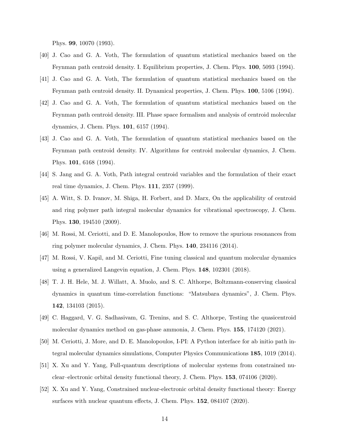Phys. 99, 10070 (1993).

- [40] J. Cao and G. A. Voth, The formulation of quantum statistical mechanics based on the Feynman path centroid density. I. Equilibrium properties, J. Chem. Phys. 100, 5093 (1994).
- [41] J. Cao and G. A. Voth, The formulation of quantum statistical mechanics based on the Feynman path centroid density. II. Dynamical properties, J. Chem. Phys. 100, 5106 (1994).
- [42] J. Cao and G. A. Voth, The formulation of quantum statistical mechanics based on the Feynman path centroid density. III. Phase space formalism and analysis of centroid molecular dynamics, J. Chem. Phys. 101, 6157 (1994).
- [43] J. Cao and G. A. Voth, The formulation of quantum statistical mechanics based on the Feynman path centroid density. IV. Algorithms for centroid molecular dynamics, J. Chem. Phys. 101, 6168 (1994).
- [44] S. Jang and G. A. Voth, Path integral centroid variables and the formulation of their exact real time dynamics, J. Chem. Phys. 111, 2357 (1999).
- [45] A. Witt, S. D. Ivanov, M. Shiga, H. Forbert, and D. Marx, On the applicability of centroid and ring polymer path integral molecular dynamics for vibrational spectroscopy, J. Chem. Phys. 130, 194510 (2009).
- [46] M. Rossi, M. Ceriotti, and D. E. Manolopoulos, How to remove the spurious resonances from ring polymer molecular dynamics, J. Chem. Phys. 140, 234116 (2014).
- [47] M. Rossi, V. Kapil, and M. Ceriotti, Fine tuning classical and quantum molecular dynamics using a generalized Langevin equation, J. Chem. Phys. 148, 102301 (2018).
- [48] T. J. H. Hele, M. J. Willatt, A. Muolo, and S. C. Althorpe, Boltzmann-conserving classical dynamics in quantum time-correlation functions: "Matsubara dynamics", J. Chem. Phys. 142, 134103 (2015).
- [49] C. Haggard, V. G. Sadhasivam, G. Trenins, and S. C. Althorpe, Testing the quasicentroid molecular dynamics method on gas-phase ammonia, J. Chem. Phys. 155, 174120 (2021).
- [50] M. Ceriotti, J. More, and D. E. Manolopoulos, I-PI: A Python interface for ab initio path integral molecular dynamics simulations, Computer Physics Communications 185, 1019 (2014).
- [51] X. Xu and Y. Yang, Full-quantum descriptions of molecular systems from constrained nuclear–electronic orbital density functional theory, J. Chem. Phys. 153, 074106 (2020).
- [52] X. Xu and Y. Yang, Constrained nuclear-electronic orbital density functional theory: Energy surfaces with nuclear quantum effects, J. Chem. Phys. 152, 084107 (2020).